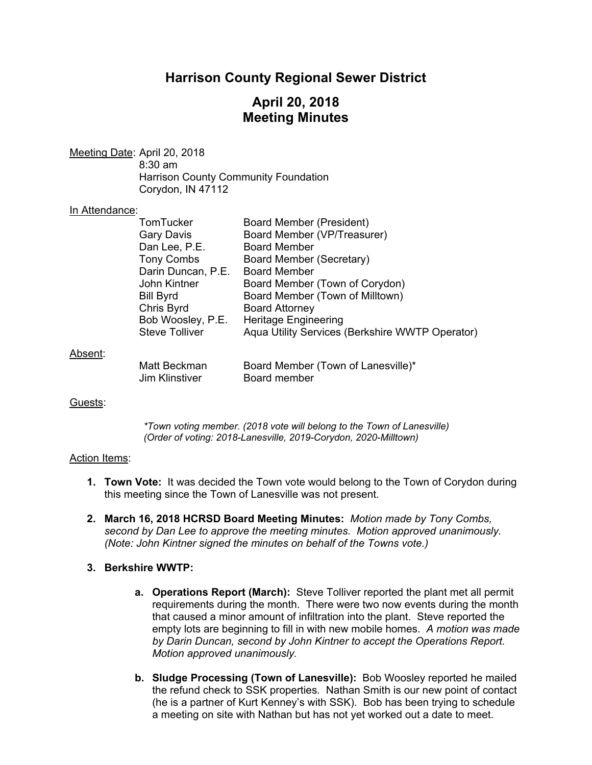# **Harrison County Regional Sewer District**

## **April 20, 2018 Meeting Minutes**

Meeting Date: April 20, 2018 8:30 am Harrison County Community Foundation Corydon, IN 47112

#### In Attendance:

|         | TomTucker                             | Board Member (President)                                  |
|---------|---------------------------------------|-----------------------------------------------------------|
|         | <b>Gary Davis</b>                     | Board Member (VP/Treasurer)                               |
|         | Dan Lee, P.E.                         | <b>Board Member</b>                                       |
|         | <b>Tony Combs</b>                     | Board Member (Secretary)                                  |
|         | Darin Duncan, P.E.                    | Board Member                                              |
|         | John Kintner                          | Board Member (Town of Corydon)                            |
|         | <b>Bill Byrd</b>                      | Board Member (Town of Milltown)                           |
|         | Chris Byrd                            | <b>Board Attorney</b>                                     |
|         | Bob Woosley, P.E.                     | <b>Heritage Engineering</b>                               |
|         | <b>Steve Tolliver</b>                 | Aqua Utility Services (Berkshire WWTP Operator)           |
| Absent: |                                       |                                                           |
|         | Matt Beckman<br><b>Jim Klinstiver</b> | Board Member (Town of Lanesville)*<br><b>Board member</b> |

### Guests:

*\*Town voting member. (2018 vote will belong to the Town of Lanesville) (Order of voting: 2018-Lanesville, 2019-Corydon, 2020-Milltown)* 

### Action Items:

- **1. Town Vote:** It was decided the Town vote would belong to the Town of Corydon during this meeting since the Town of Lanesville was not present.
- **2. March 16, 2018 HCRSD Board Meeting Minutes:** *Motion made by Tony Combs, second by Dan Lee to approve the meeting minutes. Motion approved unanimously. (Note: John Kintner signed the minutes on behalf of the Towns vote.)*

### **3. Berkshire WWTP:**

- **a. Operations Report (March):** Steve Tolliver reported the plant met all permit requirements during the month. There were two now events during the month that caused a minor amount of infiltration into the plant. Steve reported the empty lots are beginning to fill in with new mobile homes. *A motion was made by Darin Duncan, second by John Kintner to accept the Operations Report. Motion approved unanimously.*
- **b. Sludge Processing (Town of Lanesville):** Bob Woosley reported he mailed the refund check to SSK properties*.* Nathan Smith is our new point of contact (he is a partner of Kurt Kenney's with SSK). Bob has been trying to schedule a meeting on site with Nathan but has not yet worked out a date to meet.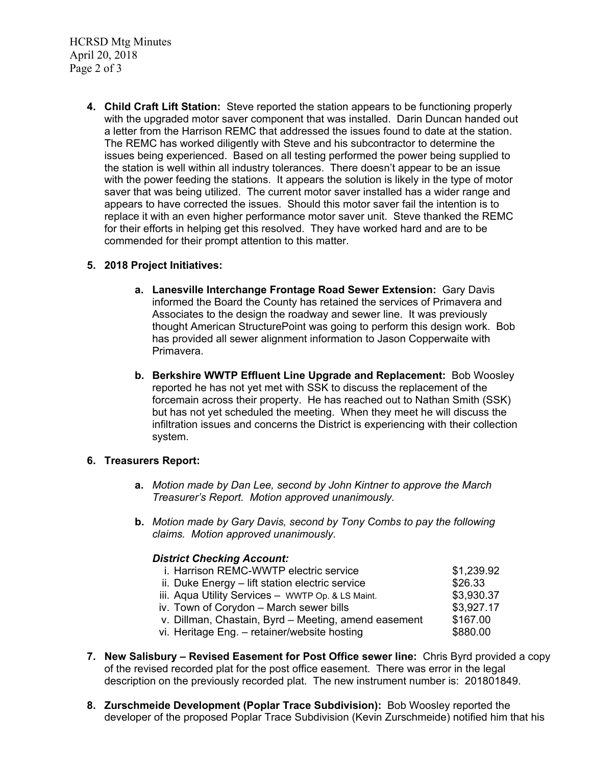HCRSD Mtg Minutes April 20, 2018 Page 2 of 3

> **4. Child Craft Lift Station:** Steve reported the station appears to be functioning properly with the upgraded motor saver component that was installed. Darin Duncan handed out a letter from the Harrison REMC that addressed the issues found to date at the station. The REMC has worked diligently with Steve and his subcontractor to determine the issues being experienced. Based on all testing performed the power being supplied to the station is well within all industry tolerances. There doesn't appear to be an issue with the power feeding the stations. It appears the solution is likely in the type of motor saver that was being utilized. The current motor saver installed has a wider range and appears to have corrected the issues. Should this motor saver fail the intention is to replace it with an even higher performance motor saver unit. Steve thanked the REMC for their efforts in helping get this resolved. They have worked hard and are to be commended for their prompt attention to this matter.

### **5. 2018 Project Initiatives:**

- **a. Lanesville Interchange Frontage Road Sewer Extension:** Gary Davis informed the Board the County has retained the services of Primavera and Associates to the design the roadway and sewer line. It was previously thought American StructurePoint was going to perform this design work. Bob has provided all sewer alignment information to Jason Copperwaite with Primavera.
- **b. Berkshire WWTP Effluent Line Upgrade and Replacement:** Bob Woosley reported he has not yet met with SSK to discuss the replacement of the forcemain across their property. He has reached out to Nathan Smith (SSK) but has not yet scheduled the meeting. When they meet he will discuss the infiltration issues and concerns the District is experiencing with their collection system.

### **6. Treasurers Report:**

- **a.** *Motion made by Dan Lee, second by John Kintner to approve the March Treasurer's Report. Motion approved unanimously.*
- **b.** *Motion made by Gary Davis, second by Tony Combs to pay the following claims. Motion approved unanimously.*

### *District Checking Account:*

| i. Harrison REMC-WWTP electric service               | \$1,239.92 |
|------------------------------------------------------|------------|
| ii. Duke Energy – lift station electric service      | \$26.33    |
| iii. Aqua Utility Services - WWTP Op. & LS Maint.    | \$3,930.37 |
| iv. Town of Corydon - March sewer bills              | \$3,927.17 |
| v. Dillman, Chastain, Byrd - Meeting, amend easement | \$167.00   |
| vi. Heritage Eng. - retainer/website hosting         | \$880.00   |
|                                                      |            |

- **7. New Salisbury Revised Easement for Post Office sewer line:** Chris Byrd provided a copy of the revised recorded plat for the post office easement. There was error in the legal description on the previously recorded plat. The new instrument number is: 201801849.
- **8. Zurschmeide Development (Poplar Trace Subdivision):** Bob Woosley reported the developer of the proposed Poplar Trace Subdivision (Kevin Zurschmeide) notified him that his